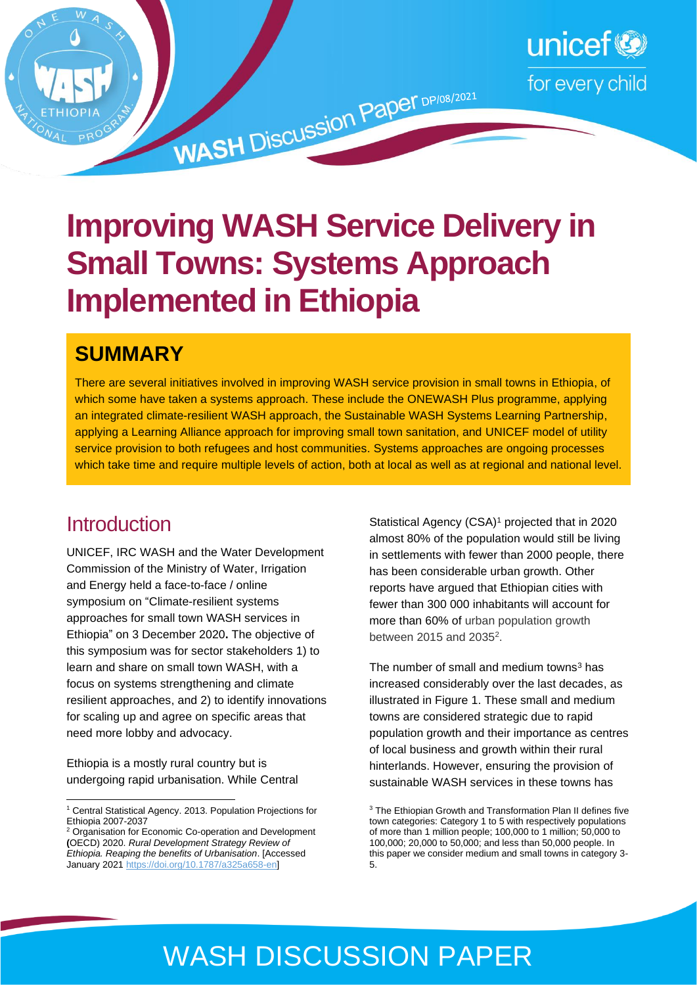

# **Improving WASH Service Delivery in Small Towns: Systems Approach Implemented in Ethiopia**

### **SUMMARY**

There are several initiatives involved in improving WASH service provision in small towns in Ethiopia, of which some have taken a systems approach. These include the ONEWASH Plus programme, applying an integrated climate-resilient WASH approach, the Sustainable WASH Systems Learning Partnership, applying a Learning Alliance approach for improving small town sanitation, and UNICEF model of utility service provision to both refugees and host communities. Systems approaches are ongoing processes which take time and require multiple levels of action, both at local as well as at regional and national level.

### **Introduction**

UNICEF, IRC WASH and the Water Development Commission of the Ministry of Water, Irrigation and Energy held a face-to-face / online symposium on "Climate-resilient systems approaches for small town WASH services in Ethiopia" on 3 December 2020**.** The objective of this symposium was for sector stakeholders 1) to learn and share on small town WASH, with a focus on systems strengthening and climate resilient approaches, and 2) to identify innovations for scaling up and agree on specific areas that need more lobby and advocacy.

Ethiopia is a mostly rural country but is undergoing rapid urbanisation. While Central

Statistical Agency (CSA) <sup>1</sup> projected that in 2020 almost 80% of the population would still be living in settlements with fewer than 2000 people, there has been considerable urban growth. Other reports have argued that Ethiopian cities with fewer than 300 000 inhabitants will account for more than 60% of urban population growth between 2015 and 2035<sup>2</sup>.

The number of small and medium towns $3$  has increased considerably over the last decades, as illustrated in Figure 1. These small and medium towns are considered strategic due to rapid population growth and their importance as centres of local business and growth within their rural hinterlands. However, ensuring the provision of sustainable WASH services in these towns has

## WASH DISCUSSION PAPER

<sup>1</sup> Central Statistical Agency. 2013. Population Projections for Ethiopia 2007-2037

<sup>2</sup> Organisation for Economic Co-operation and Development **(**OECD) 2020. *Rural Development Strategy Review of Ethiopia. Reaping the benefits of Urbanisation*. [Accessed January 202[1 https://doi.org/10.1787/a325a658-en\]](https://doi.org/10.1787/a325a658-en) 

<sup>&</sup>lt;sup>3</sup> The Ethiopian Growth and Transformation Plan II defines five town categories: Category 1 to 5 with respectively populations of more than 1 million people; 100,000 to 1 million; 50,000 to 100,000; 20,000 to 50,000; and less than 50,000 people. In this paper we consider medium and small towns in category 3- 5.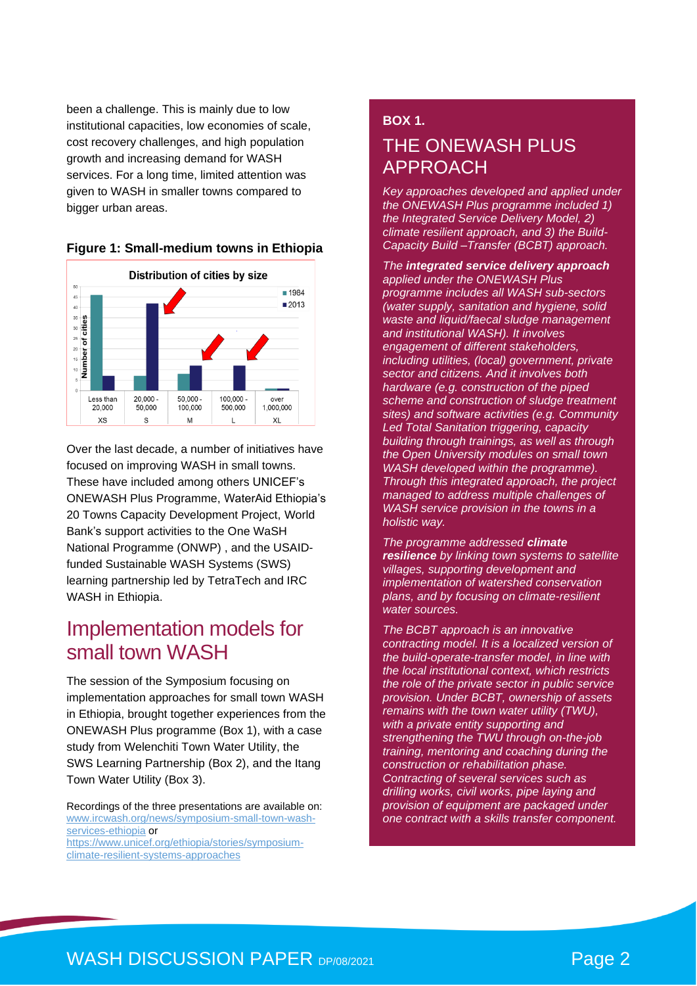been a challenge. This is mainly due to low institutional capacities, low economies of scale, cost recovery challenges, and high population growth and increasing demand for WASH services. For a long time, limited attention was given to WASH in smaller towns compared to bigger urban areas.





Over the last decade, a number of initiatives have focused on improving WASH in small towns. These have included among others UNICEF's ONEWASH Plus Programme, WaterAid Ethiopia's 20 Towns Capacity Development Project, World Bank's support activities to the One WaSH National Programme (ONWP) , and the USAIDfunded Sustainable WASH Systems (SWS) learning partnership led by TetraTech and IRC WASH in Ethiopia.

### Implementation models for small town WASH

The session of the Symposium focusing on implementation approaches for small town WASH in Ethiopia, brought together experiences from the ONEWASH Plus programme (Box 1), with a case study from Welenchiti Town Water Utility, the SWS Learning Partnership (Box 2), and the Itang Town Water Utility (Box 3).

Recordings of the three presentations are available on: [www.ircwash.org/news/symposium-small-town-wash](http://www.ircwash.org/news/symposium-small-town-wash-services-ethiopia)[services-ethiopia](http://www.ircwash.org/news/symposium-small-town-wash-services-ethiopia) or

[https://www.unicef.org/ethiopia/stories/symposium](https://www.unicef.org/ethiopia/stories/symposium-climate-resilient-systems-approaches)[climate-resilient-systems-approaches](https://www.unicef.org/ethiopia/stories/symposium-climate-resilient-systems-approaches)

### **BOX 1.** THE ONEWASH PLUS APPROACH

*Key approaches developed and applied under the ONEWASH Plus programme included 1) the Integrated Service Delivery Model, 2) climate resilient approach, and 3) the Build-Capacity Build –Transfer (BCBT) approach.* 

*The integrated service delivery approach applied under the ONEWASH Plus programme includes all WASH sub-sectors (water supply, sanitation and hygiene, solid waste and liquid/faecal sludge management and institutional WASH). It involves engagement of different stakeholders, including utilities, (local) government, private sector and citizens. And it involves both hardware (e.g. construction of the piped scheme and construction of sludge treatment sites) and software activities (e.g. Community Led Total Sanitation triggering, capacity building through trainings, as well as through the Open University modules on small town WASH developed within the programme). Through this integrated approach, the project managed to address multiple challenges of WASH service provision in the towns in a holistic way.* 

*The programme addressed climate resilience by linking town systems to satellite villages, supporting development and implementation of watershed conservation plans, and by focusing on climate-resilient water sources.*

*The BCBT approach is an innovative contracting model. It is a localized version of the build-operate-transfer model, in line with the local institutional context, which restricts the role of the private sector in public service provision. Under BCBT, ownership of assets remains with the town water utility (TWU), with a private entity supporting and strengthening the TWU through on-the-job training, mentoring and coaching during the construction or rehabilitation phase. Contracting of several services such as drilling works, civil works, pipe laying and provision of equipment are packaged under one contract with a skills transfer component.*

### WASH DISCUSSION PAPER DP/08/2021 **Page 2**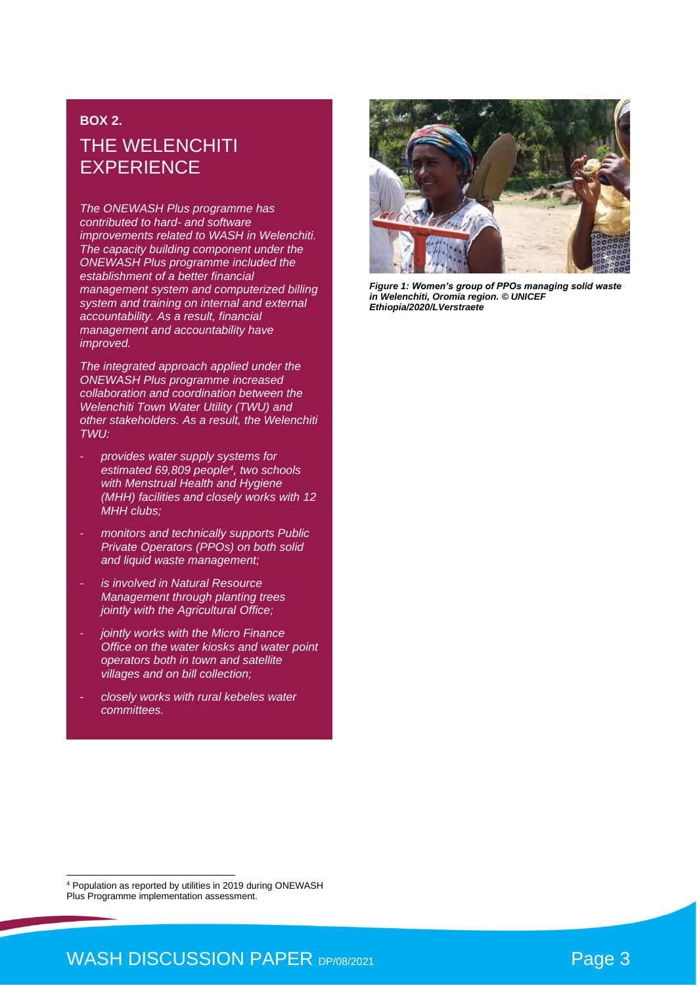### **BOX 2.** THE WELENCHITI **EXPERIENCE**

*The ONEWASH Plus programme has contributed to hard- and software improvements related to WASH in Welenchiti. The capacity building component under the ONEWASH Plus programme included the establishment of a better financial management system and computerized billing system and training on internal and external accountability. As a result, financial management and accountability have improved.* 

*The integrated approach applied under the ONEWASH Plus programme increased collaboration and coordination between the Welenchiti Town Water Utility (TWU) and other stakeholders. As a result, the Welenchiti TWU:*

- *provides water supply systems for estimated 69,809 people<sup>4</sup> , two schools with Menstrual Health and Hygiene (MHH) facilities and closely works with 12 MHH clubs;*
- *monitors and technically supports Public Private Operators (PPOs) on both solid and liquid waste management;*
- *is involved in Natural Resource Management through planting trees jointly with the Agricultural Office;*
- *jointly works with the Micro Finance Office on the water kiosks and water point operators both in town and satellite villages and on bill collection;*
- *closely works with rural kebeles water committees.*



*Figure 1: Women's group of PPOs managing solid waste in Welenchiti, Oromia region. © UNICEF Ethiopia/2020/LVerstraete*

<sup>4</sup> Population as reported by utilities in 2019 during ONEWASH Plus Programme implementation assessment.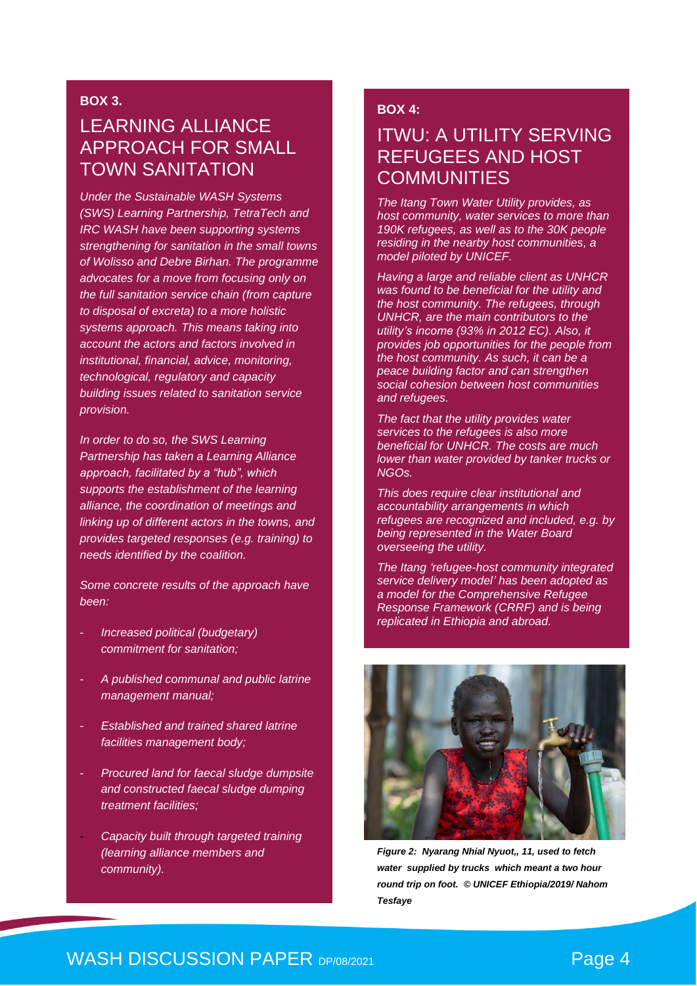#### **BOX 3.**

### LEARNING ALLIANCE APPROACH FOR SMALL TOWN SANITATION

*Under the Sustainable WASH Systems (SWS) Learning Partnership, TetraTech and IRC WASH have been supporting systems strengthening for sanitation in the small towns of Wolisso and Debre Birhan. The programme advocates for a move from focusing only on the full sanitation service chain (from capture to disposal of excreta) to a more holistic systems approach. This means taking into account the actors and factors involved in institutional, financial, advice, monitoring, technological, regulatory and capacity building issues related to sanitation service provision.*

*In order to do so, the SWS Learning Partnership has taken a Learning Alliance approach, facilitated by a "hub", which supports the establishment of the learning alliance, the coordination of meetings and linking up of different actors in the towns, and provides targeted responses (e.g. training) to needs identified by the coalition.* 

*Some concrete results of the approach have been:* 

- *Increased political (budgetary) commitment for sanitation;*
- *A published communal and public latrine management manual;*
- *Established and trained shared latrine facilities management body;*
- *Procured land for faecal sludge dumpsite and constructed faecal sludge dumping treatment facilities;*
- *Capacity built through targeted training (learning alliance members and community).*

#### **BOX 4:**

### ITWU: A UTILITY SERVING REFUGEES AND HOST **COMMUNITIES**

*The Itang Town Water Utility provides, as host community, water services to more than 190K refugees, as well as to the 30K people residing in the nearby host communities, a model piloted by UNICEF.*

*Having a large and reliable client as UNHCR was found to be beneficial for the utility and the host community. The refugees, through UNHCR, are the main contributors to the utility's income (93% in 2012 EC). Also, it provides job opportunities for the people from the host community. As such, it can be a peace building factor and can strengthen social cohesion between host communities and refugees.* 

*The fact that the utility provides water services to the refugees is also more beneficial for UNHCR. The costs are much lower than water provided by tanker trucks or NGOs.*

*This does require clear institutional and accountability arrangements in which refugees are recognized and included, e.g. by being represented in the Water Board overseeing the utility.* 

*The Itang 'refugee-host community integrated service delivery model' has been adopted as a model for the Comprehensive Refugee Response Framework (CRRF) and is being replicated in Ethiopia and abroad.* 



*Figure 2: Nyarang Nhial Nyuot,, 11, used to fetch water supplied by trucks which meant a two hour round trip on foot. © UNICEF Ethiopia/2019/ Nahom Tesfaye*

### WASH DISCUSSION PAPER DP/08/2021 **Page 4**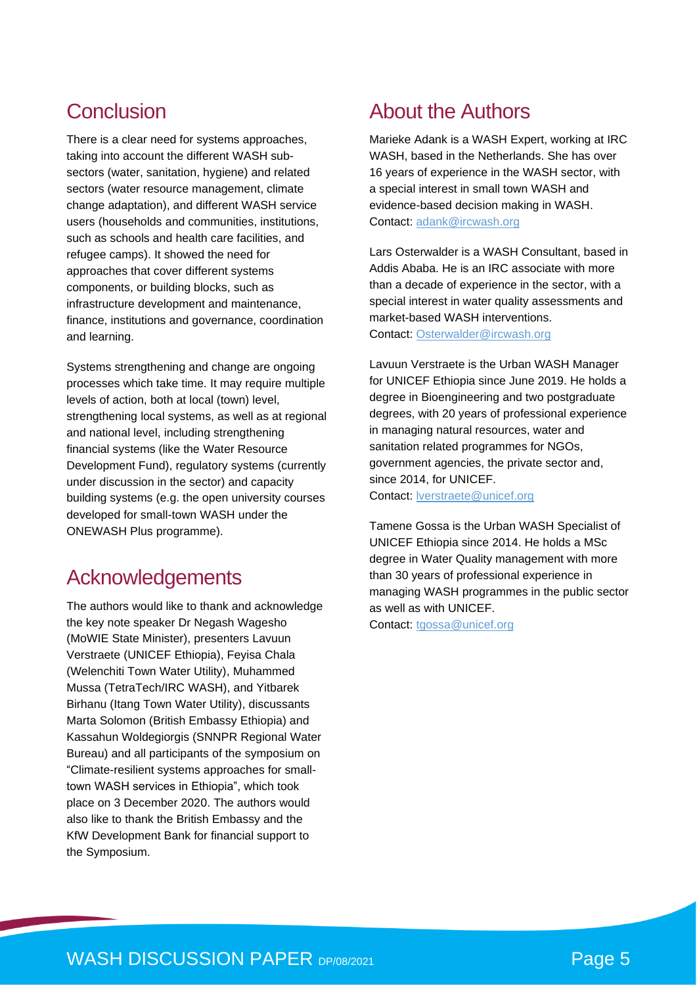### Conclusion

There is a clear need for systems approaches, taking into account the different WASH subsectors (water, sanitation, hygiene) and related sectors (water resource management, climate change adaptation), and different WASH service users (households and communities, institutions, such as schools and health care facilities, and refugee camps). It showed the need for approaches that cover different systems components, or building blocks, such as infrastructure development and maintenance, finance, institutions and governance, coordination and learning.

Systems strengthening and change are ongoing processes which take time. It may require multiple levels of action, both at local (town) level, strengthening local systems, as well as at regional and national level, including strengthening financial systems (like the Water Resource Development Fund), regulatory systems (currently under discussion in the sector) and capacity building systems (e.g. the open university courses developed for small-town WASH under the ONEWASH Plus programme).

### Acknowledgements

The authors would like to thank and acknowledge the key note speaker Dr Negash Wagesho (MoWIE State Minister), presenters Lavuun Verstraete (UNICEF Ethiopia), Feyisa Chala (Welenchiti Town Water Utility), Muhammed Mussa (TetraTech/IRC WASH), and Yitbarek Birhanu (Itang Town Water Utility), discussants Marta Solomon (British Embassy Ethiopia) and Kassahun Woldegiorgis (SNNPR Regional Water Bureau) and all participants of the symposium on "Climate-resilient systems approaches for smalltown WASH services in Ethiopia", which took place on 3 December 2020. The authors would also like to thank the British Embassy and the KfW Development Bank for financial support to the Symposium.

### About the Authors

Marieke Adank is a WASH Expert, working at IRC WASH, based in the Netherlands. She has over 16 years of experience in the WASH sector, with a special interest in small town WASH and evidence-based decision making in WASH. Contact: [adank@ircwash.org](mailto:adank@ircwash.org) 

Lars Osterwalder is a WASH Consultant, based in Addis Ababa. He is an IRC associate with more than a decade of experience in the sector, with a special interest in water quality assessments and market-based WASH interventions. Contact: [Osterwalder@ircwash.org](mailto:Osterwalder@ircwash.org)

Lavuun Verstraete is the Urban WASH Manager for UNICEF Ethiopia since June 2019. He holds a degree in Bioengineering and two postgraduate degrees, with 20 years of professional experience in managing natural resources, water and sanitation related programmes for NGOs. government agencies, the private sector and, since 2014, for UNICEF. Contact: [lverstraete@unicef.org](mailto:lverstraete@unicef.org)

Tamene Gossa is the Urban WASH Specialist of UNICEF Ethiopia since 2014. He holds a MSc degree in Water Quality management with more than 30 years of professional experience in managing WASH programmes in the public sector as well as with UNICEF.

Contact: [tgossa@unicef.org](mailto:tgossa@unicef.org)

### WASH DISCUSSION PAPER DP/08/2021 **Page 5**